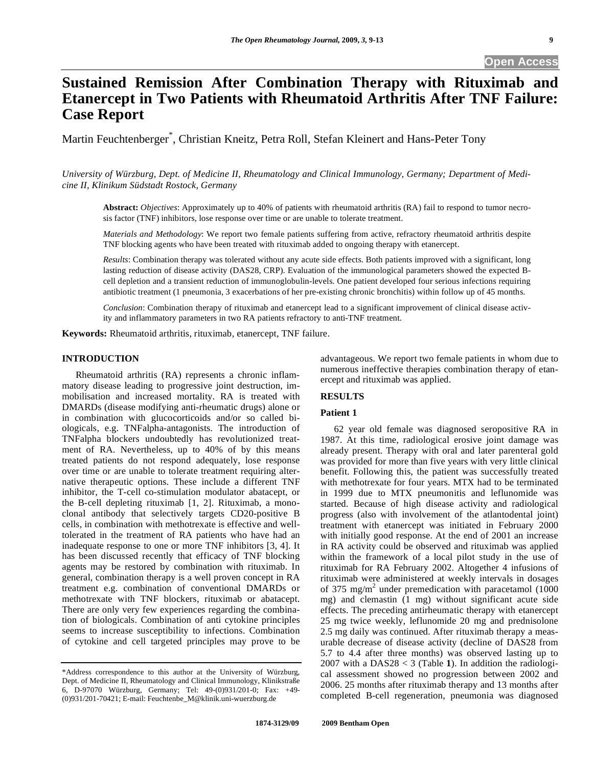# **Sustained Remission After Combination Therapy with Rituximab and Etanercept in Two Patients with Rheumatoid Arthritis After TNF Failure: Case Report**

Martin Feuchtenberger\* , Christian Kneitz, Petra Roll, Stefan Kleinert and Hans-Peter Tony

*University of Würzburg, Dept. of Medicine II, Rheumatology and Clinical Immunology, Germany; Department of Medicine II, Klinikum Südstadt Rostock, Germany* 

**Abstract:** *Objectives*: Approximately up to 40% of patients with rheumatoid arthritis (RA) fail to respond to tumor necrosis factor (TNF) inhibitors, lose response over time or are unable to tolerate treatment.

*Materials and Methodology*: We report two female patients suffering from active, refractory rheumatoid arthritis despite TNF blocking agents who have been treated with rituximab added to ongoing therapy with etanercept.

*Results*: Combination therapy was tolerated without any acute side effects. Both patients improved with a significant, long lasting reduction of disease activity (DAS28, CRP). Evaluation of the immunological parameters showed the expected Bcell depletion and a transient reduction of immunoglobulin-levels. One patient developed four serious infections requiring antibiotic treatment (1 pneumonia, 3 exacerbations of her pre-existing chronic bronchitis) within follow up of 45 months.

*Conclusion*: Combination therapy of rituximab and etanercept lead to a significant improvement of clinical disease activity and inflammatory parameters in two RA patients refractory to anti-TNF treatment.

**Keywords:** Rheumatoid arthritis, rituximab, etanercept, TNF failure.

## **INTRODUCTION**

 Rheumatoid arthritis (RA) represents a chronic inflammatory disease leading to progressive joint destruction, immobilisation and increased mortality. RA is treated with DMARDs (disease modifying anti-rheumatic drugs) alone or in combination with glucocorticoids and/or so called biologicals, e.g. TNFalpha-antagonists. The introduction of TNFalpha blockers undoubtedly has revolutionized treatment of RA. Nevertheless, up to 40% of by this means treated patients do not respond adequately, lose response over time or are unable to tolerate treatment requiring alternative therapeutic options. These include a different TNF inhibitor, the T-cell co-stimulation modulator abatacept, or the B-cell depleting rituximab [1, 2]. Rituximab, a monoclonal antibody that selectively targets CD20-positive B cells, in combination with methotrexate is effective and welltolerated in the treatment of RA patients who have had an inadequate response to one or more TNF inhibitors [3, 4]. It has been discussed recently that efficacy of TNF blocking agents may be restored by combination with rituximab. In general, combination therapy is a well proven concept in RA treatment e.g. combination of conventional DMARDs or methotrexate with TNF blockers, rituximab or abatacept. There are only very few experiences regarding the combination of biologicals. Combination of anti cytokine principles seems to increase susceptibility to infections. Combination of cytokine and cell targeted principles may prove to be

advantageous. We report two female patients in whom due to numerous ineffective therapies combination therapy of etanercept and rituximab was applied.

### **RESULTS**

## **Patient 1**

 62 year old female was diagnosed seropositive RA in 1987. At this time, radiological erosive joint damage was already present. Therapy with oral and later parenteral gold was provided for more than five years with very little clinical benefit. Following this, the patient was successfully treated with methotrexate for four years. MTX had to be terminated in 1999 due to MTX pneumonitis and leflunomide was started. Because of high disease activity and radiological progress (also with involvement of the atlantodental joint) treatment with etanercept was initiated in February 2000 with initially good response. At the end of 2001 an increase in RA activity could be observed and rituximab was applied within the framework of a local pilot study in the use of rituximab for RA February 2002. Altogether 4 infusions of rituximab were administered at weekly intervals in dosages of 375 mg/m<sup>2</sup> under premedication with paracetamol  $(1000)$ mg) and clemastin (1 mg) without significant acute side effects. The preceding antirheumatic therapy with etanercept 25 mg twice weekly, leflunomide 20 mg and prednisolone 2.5 mg daily was continued. After rituximab therapy a measurable decrease of disease activity (decline of DAS28 from 5.7 to 4.4 after three months) was observed lasting up to 2007 with a DAS28 < 3 (Table **1**). In addition the radiological assessment showed no progression between 2002 and 2006. 25 months after rituximab therapy and 13 months after completed B-cell regeneration, pneumonia was diagnosed

<sup>\*</sup>Address correspondence to this author at the University of Würzburg, Dept. of Medicine II, Rheumatology and Clinical Immunology, Klinikstraße 6, D-97070 Würzburg, Germany; Tel: 49-(0)931/201-0; Fax: +49- (0)931/201-70421; E-mail: Feuchtenbe\_M@klinik.uni-wuerzburg.de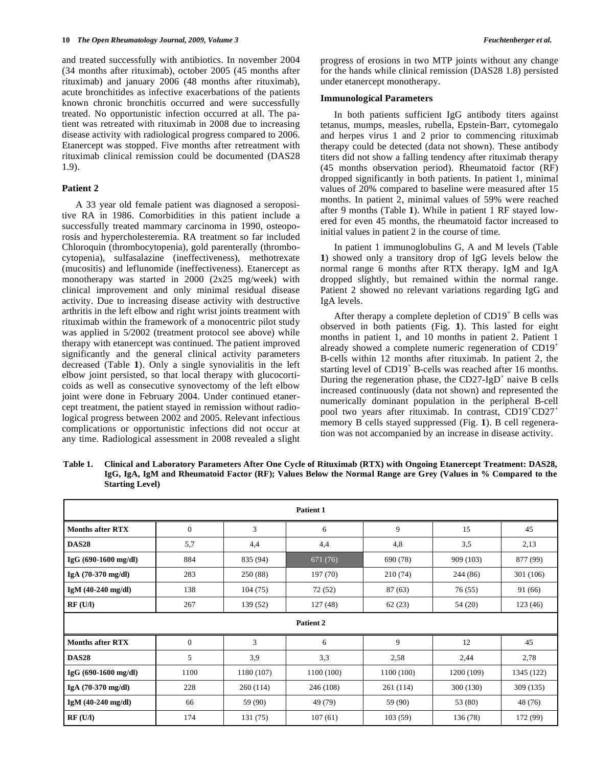and treated successfully with antibiotics. In november 2004 (34 months after rituximab), october 2005 (45 months after rituximab) and january 2006 (48 months after rituximab), acute bronchitides as infective exacerbations of the patients known chronic bronchitis occurred and were successfully treated. No opportunistic infection occurred at all. The patient was retreated with rituximab in 2008 due to increasing disease activity with radiological progress compared to 2006. Etanercept was stopped. Five months after retreatment with rituximab clinical remission could be documented (DAS28 1.9).

## **Patient 2**

 A 33 year old female patient was diagnosed a seropositive RA in 1986. Comorbidities in this patient include a successfully treated mammary carcinoma in 1990, osteoporosis and hypercholesteremia. RA treatment so far included Chloroquin (thrombocytopenia), gold parenterally (thrombocytopenia), sulfasalazine (ineffectiveness), methotrexate (mucositis) and leflunomide (ineffectiveness). Etanercept as monotherapy was started in 2000 (2x25 mg/week) with clinical improvement and only minimal residual disease activity. Due to increasing disease activity with destructive arthritis in the left elbow and right wrist joints treatment with rituximab within the framework of a monocentric pilot study was applied in 5/2002 (treatment protocol see above) while therapy with etanercept was continued. The patient improved significantly and the general clinical activity parameters decreased (Table **1**). Only a single synovialitis in the left elbow joint persisted, so that local therapy with glucocorticoids as well as consecutive synovectomy of the left elbow joint were done in February 2004. Under continued etanercept treatment, the patient stayed in remission without radiological progress between 2002 and 2005. Relevant infectious complications or opportunistic infections did not occur at any time. Radiological assessment in 2008 revealed a slight progress of erosions in two MTP joints without any change for the hands while clinical remission (DAS28 1.8) persisted under etanercept monotherapy.

#### **Immunological Parameters**

 In both patients sufficient IgG antibody titers against tetanus, mumps, measles, rubella, Epstein-Barr, cytomegalo and herpes virus 1 and 2 prior to commencing rituximab therapy could be detected (data not shown). These antibody titers did not show a falling tendency after rituximab therapy (45 months observation period). Rheumatoid factor (RF) dropped significantly in both patients. In patient 1, minimal values of 20% compared to baseline were measured after 15 months. In patient 2, minimal values of 59% were reached after 9 months (Table **1**). While in patient 1 RF stayed lowered for even 45 months, the rheumatoid factor increased to initial values in patient 2 in the course of time.

 In patient 1 immunoglobulins G, A and M levels (Table **1**) showed only a transitory drop of IgG levels below the normal range 6 months after RTX therapy. IgM and IgA dropped slightly, but remained within the normal range. Patient 2 showed no relevant variations regarding IgG and IgA levels.

After therapy a complete depletion of  $CD19<sup>+</sup>$  B cells was observed in both patients (Fig. **1**). This lasted for eight months in patient 1, and 10 months in patient 2. Patient 1 already showed a complete numeric regeneration of CD19<sup>+</sup> B-cells within 12 months after rituximab. In patient 2, the starting level of CD19<sup>+</sup> B-cells was reached after 16 months. During the regeneration phase, the CD27-IgD<sup>+</sup> naive B cells increased continuously (data not shown) and represented the numerically dominant population in the peripheral B-cell pool two years after rituximab. In contrast, CD19<sup>+</sup>CD27<sup>+</sup> memory B cells stayed suppressed (Fig. **1**). B cell regeneration was not accompanied by an increase in disease activity.

**Table 1. Clinical and Laboratory Parameters After One Cycle of Rituximab (RTX) with Ongoing Etanercept Treatment: DAS28, IgG, IgA, IgM and Rheumatoid Factor (RF); Values Below the Normal Range are Grey (Values in % Compared to the Starting Level)** 

| Patient 1               |              |           |            |           |            |            |
|-------------------------|--------------|-----------|------------|-----------|------------|------------|
| <b>Months after RTX</b> | $\mathbf{0}$ | 3         | 6          | 9         | 15         | 45         |
| <b>DAS28</b>            | 5,7          | 4,4       | 4,4        | 4,8       | 3,5        | 2,13       |
| $IgG (690-1600 mg/dl)$  | 884          | 835 (94)  | 671 (76)   | 690 (78)  | 909 (103)  | 877 (99)   |
| $IgA (70-370 mg/dl)$    | 283          | 250 (88)  | 197 (70)   | 210 (74)  | 244 (86)   | 301 (106)  |
| $IgM (40-240 mg/dl)$    | 138          | 104(75)   | 72 (52)    | 87(63)    | 76 (55)    | 91 (66)    |
| RF(U/I)                 | 267          | 139 (52)  | 127(48)    | 62(23)    | 54 (20)    | 123(46)    |
| Patient 2               |              |           |            |           |            |            |
| <b>Months after RTX</b> | $\mathbf{0}$ | 3         | 6          | 9         | 12         | 45         |
| <b>DAS28</b>            | 5            | 3,9       | 3,3        | 2,58      | 2,44       | 2,78       |
| $IgG (690-1600 mg/dl)$  | 1100         | 1180(107) | 1100 (100) | 1100(100) | 1200 (109) | 1345 (122) |
| $IgA (70-370 mg/dl)$    | 228          | 260(114)  | 246 (108)  | 261 (114) | 300 (130)  | 309 (135)  |
| $IgM (40-240 mg/dl)$    | 66           | 59 (90)   | 49 (79)    | 59 (90)   | 53 (80)    | 48 (76)    |
| RF(U/I)                 | 174          | 131 (75)  | 107(61)    | 103(59)   | 136 (78)   | 172 (99)   |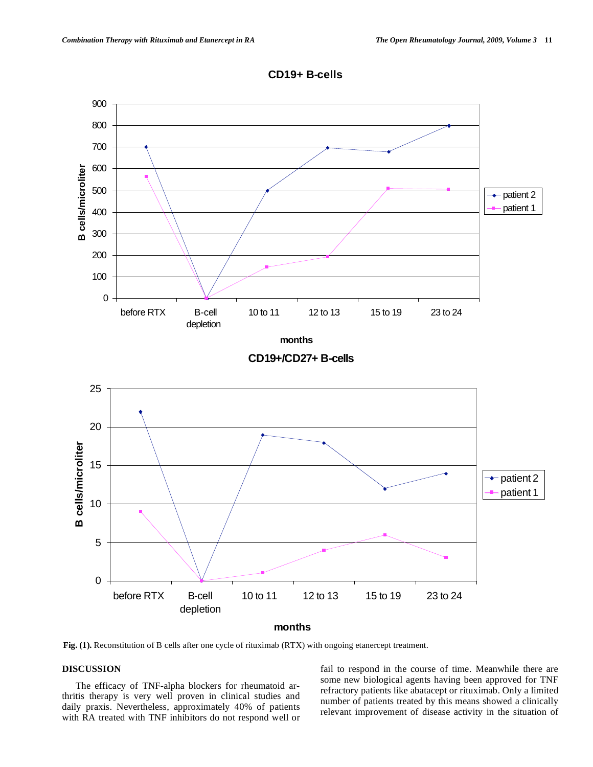



**Fig. (1).** Reconstitution of B cells after one cycle of rituximab (RTX) with ongoing etanercept treatment.

## **DISCUSSION**

 The efficacy of TNF-alpha blockers for rheumatoid arthritis therapy is very well proven in clinical studies and daily praxis. Nevertheless, approximately 40% of patients with RA treated with TNF inhibitors do not respond well or

fail to respond in the course of time. Meanwhile there are some new biological agents having been approved for TNF refractory patients like abatacept or rituximab. Only a limited number of patients treated by this means showed a clinically relevant improvement of disease activity in the situation of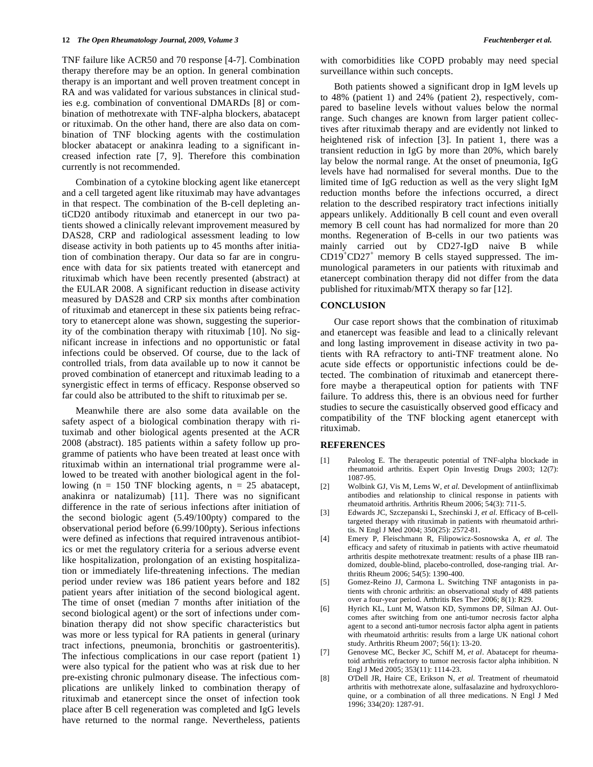TNF failure like ACR50 and 70 response [4-7]. Combination therapy therefore may be an option. In general combination therapy is an important and well proven treatment concept in RA and was validated for various substances in clinical studies e.g. combination of conventional DMARDs [8] or combination of methotrexate with TNF-alpha blockers, abatacept or rituximab. On the other hand, there are also data on combination of TNF blocking agents with the costimulation blocker abatacept or anakinra leading to a significant increased infection rate [7, 9]. Therefore this combination currently is not recommended.

 Combination of a cytokine blocking agent like etanercept and a cell targeted agent like rituximab may have advantages in that respect. The combination of the B-cell depleting antiCD20 antibody rituximab and etanercept in our two patients showed a clinically relevant improvement measured by DAS28, CRP and radiological assessment leading to low disease activity in both patients up to 45 months after initiation of combination therapy. Our data so far are in congruence with data for six patients treated with etanercept and rituximab which have been recently presented (abstract) at the EULAR 2008. A significant reduction in disease activity measured by DAS28 and CRP six months after combination of rituximab and etanercept in these six patients being refractory to etanercept alone was shown, suggesting the superiority of the combination therapy with rituximab [10]. No significant increase in infections and no opportunistic or fatal infections could be observed. Of course, due to the lack of controlled trials, from data available up to now it cannot be proved combination of etanercept and rituximab leading to a synergistic effect in terms of efficacy. Response observed so far could also be attributed to the shift to rituximab per se.

 Meanwhile there are also some data available on the safety aspect of a biological combination therapy with rituximab and other biological agents presented at the ACR 2008 (abstract). 185 patients within a safety follow up programme of patients who have been treated at least once with rituximab within an international trial programme were allowed to be treated with another biological agent in the following (n = 150 TNF blocking agents, n = 25 abatacept, anakinra or natalizumab) [11]. There was no significant difference in the rate of serious infections after initiation of the second biologic agent (5.49/100pty) compared to the observational period before (6.99/100pty). Serious infections were defined as infections that required intravenous antibiotics or met the regulatory criteria for a serious adverse event like hospitalization, prolongation of an existing hospitalization or immediately life-threatening infections. The median period under review was 186 patient years before and 182 patient years after initiation of the second biological agent. The time of onset (median 7 months after initiation of the second biological agent) or the sort of infections under combination therapy did not show specific characteristics but was more or less typical for RA patients in general (urinary tract infections, pneumonia, bronchitis or gastroenteritis). The infectious complications in our case report (patient 1) were also typical for the patient who was at risk due to her pre-existing chronic pulmonary disease. The infectious complications are unlikely linked to combination therapy of rituximab and etanercept since the onset of infection took place after B cell regeneration was completed and IgG levels have returned to the normal range. Nevertheless, patients

with comorbidities like COPD probably may need special surveillance within such concepts.

 Both patients showed a significant drop in IgM levels up to 48% (patient 1) and 24% (patient 2), respectively, compared to baseline levels without values below the normal range. Such changes are known from larger patient collectives after rituximab therapy and are evidently not linked to heightened risk of infection [3]. In patient 1, there was a transient reduction in IgG by more than 20%, which barely lay below the normal range. At the onset of pneumonia, IgG levels have had normalised for several months. Due to the limited time of IgG reduction as well as the very slight IgM reduction months before the infections occurred, a direct relation to the described respiratory tract infections initially appears unlikely. Additionally B cell count and even overall memory B cell count has had normalized for more than 20 months. Regeneration of B-cells in our two patients was mainly carried out by CD27-IgD naive B while  $CD19^{\dagger}CD27^{\dagger}$  memory B cells stayed suppressed. The immunological parameters in our patients with rituximab and etanercept combination therapy did not differ from the data published for rituximab/MTX therapy so far [12].

### **CONCLUSION**

 Our case report shows that the combination of rituximab and etanercept was feasible and lead to a clinically relevant and long lasting improvement in disease activity in two patients with RA refractory to anti-TNF treatment alone. No acute side effects or opportunistic infections could be detected. The combination of rituximab and etanercept therefore maybe a therapeutical option for patients with TNF failure. To address this, there is an obvious need for further studies to secure the casuistically observed good efficacy and compatibility of the TNF blocking agent etanercept with rituximab.

## **REFERENCES**

- [1] Paleolog E. The therapeutic potential of TNF-alpha blockade in rheumatoid arthritis. Expert Opin Investig Drugs 2003; 12(7): 1087-95.
- [2] Wolbink GJ, Vis M, Lems W, *et al*. Development of antiinfliximab antibodies and relationship to clinical response in patients with rheumatoid arthritis. Arthritis Rheum 2006; 54(3): 711-5.
- [3] Edwards JC, Szczepanski L, Szechinski J, *et al*. Efficacy of B-celltargeted therapy with rituximab in patients with rheumatoid arthritis. N Engl J Med 2004; 350(25): 2572-81.
- [4] Emery P, Fleischmann R, Filipowicz-Sosnowska A, *et al*. The efficacy and safety of rituximab in patients with active rheumatoid arthritis despite methotrexate treatment: results of a phase IIB randomized, double-blind, placebo-controlled, dose-ranging trial. Arthritis Rheum 2006;  $54(\overline{5})$ : 1390-400.
- [5] Gomez-Reino JJ, Carmona L. Switching TNF antagonists in patients with chronic arthritis: an observational study of 488 patients over a four-year period. Arthritis Res Ther 2006; 8(1): R29.
- [6] Hyrich KL, Lunt M, Watson KD, Symmons DP, Silman AJ. Outcomes after switching from one anti-tumor necrosis factor alpha agent to a second anti-tumor necrosis factor alpha agent in patients with rheumatoid arthritis: results from a large UK national cohort study. Arthritis Rheum 2007; 56(1): 13-20.
- [7] Genovese MC, Becker JC, Schiff M, *et al*. Abatacept for rheumatoid arthritis refractory to tumor necrosis factor alpha inhibition. N Engl J Med 2005; 353(11): 1114-23.
- [8] O'Dell JR, Haire CE, Erikson N, *et al*. Treatment of rheumatoid arthritis with methotrexate alone, sulfasalazine and hydroxychloroquine, or a combination of all three medications. N Engl J Med 1996; 334(20): 1287-91.